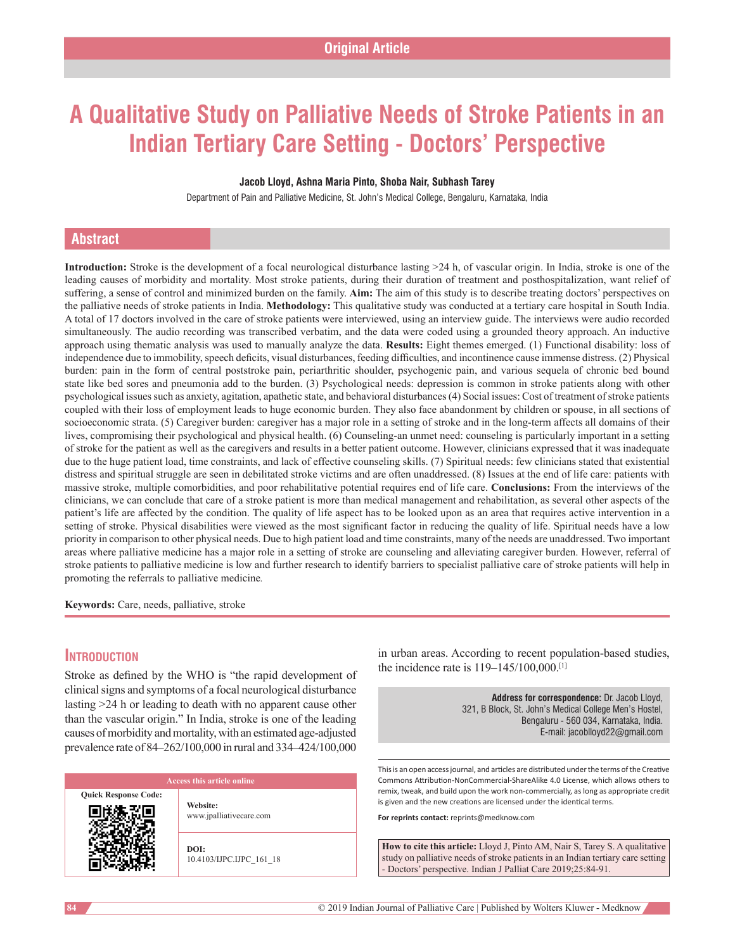# **A Qualitative Study on Palliative Needs of Stroke Patients in an Indian Tertiary Care Setting ‑ Doctors' Perspective**

#### **Jacob Lloyd, Ashna Maria Pinto, Shoba Nair, Subhash Tarey**

Department of Pain and Palliative Medicine, St. John's Medical College, Bengaluru, Karnataka, India

# **Abstract**

**Introduction:** Stroke is the development of a focal neurological disturbance lasting >24 h, of vascular origin. In India, stroke is one of the leading causes of morbidity and mortality. Most stroke patients, during their duration of treatment and posthospitalization, want relief of suffering, a sense of control and minimized burden on the family. **Aim:** The aim of this study is to describe treating doctors' perspectives on the palliative needs of stroke patients in India. **Methodology:** This qualitative study was conducted at a tertiary care hospital in South India. A total of 17 doctors involved in the care of stroke patients were interviewed, using an interview guide. The interviews were audio recorded simultaneously. The audio recording was transcribed verbatim, and the data were coded using a grounded theory approach. An inductive approach using thematic analysis was used to manually analyze the data. **Results:** Eight themes emerged. (1) Functional disability: loss of independence due to immobility, speech deficits, visual disturbances, feeding difficulties, and incontinence cause immense distress. (2) Physical burden: pain in the form of central poststroke pain, periarthritic shoulder, psychogenic pain, and various sequela of chronic bed bound state like bed sores and pneumonia add to the burden. (3) Psychological needs: depression is common in stroke patients along with other psychological issues such as anxiety, agitation, apathetic state, and behavioral disturbances(4) Social issues: Cost of treatment of stroke patients coupled with their loss of employment leads to huge economic burden. They also face abandonment by children or spouse, in all sections of socioeconomic strata. (5) Caregiver burden: caregiver has a major role in a setting of stroke and in the long-term affects all domains of their lives, compromising their psychological and physical health. (6) Counseling-an unmet need: counseling is particularly important in a setting of stroke for the patient as well as the caregivers and results in a better patient outcome. However, clinicians expressed that it was inadequate due to the huge patient load, time constraints, and lack of effective counseling skills. (7) Spiritual needs: few clinicians stated that existential distress and spiritual struggle are seen in debilitated stroke victims and are often unaddressed. (8) Issues at the end of life care: patients with massive stroke, multiple comorbidities, and poor rehabilitative potential requires end of life care. **Conclusions:** From the interviews of the clinicians, we can conclude that care of a stroke patient is more than medical management and rehabilitation, as several other aspects of the patient's life are affected by the condition. The quality of life aspect has to be looked upon as an area that requires active intervention in a setting of stroke. Physical disabilities were viewed as the most significant factor in reducing the quality of life. Spiritual needs have a low priority in comparison to other physical needs. Due to high patient load and time constraints, many of the needs are unaddressed. Two important areas where palliative medicine has a major role in a setting of stroke are counseling and alleviating caregiver burden. However, referral of stroke patients to palliative medicine is low and further research to identify barriers to specialist palliative care of stroke patients will help in promoting the referrals to palliative medicine*.*

**Keywords:** Care, needs, palliative, stroke

# **Introduction**

Stroke as defined by the WHO is "the rapid development of clinical signs and symptoms of a focal neurological disturbance lasting >24 h or leading to death with no apparent cause other than the vascular origin." In India, stroke is one of the leading causes of morbidity and mortality, with an estimated age-adjusted prevalence rate of 84–262/100,000 in rural and 334–424/100,000

**Quick Response Code:**

**Website:** www.jpalliativecare.com

**DOI:** 10.4103/IJPC.IJPC\_161\_18 in urban areas. According to recent population-based studies, the incidence rate is 119–145/100,000.[1]

> **Address for correspondence:** Dr. Jacob Lloyd, 321, B Block, St. John's Medical College Men's Hostel, Bengaluru ‑ 560 034, Karnataka, India. E‑mail: jacoblloyd22@gmail.com

This is an open access journal, and articles are distributed under the terms of the Creative Commons Attribution‑NonCommercial‑ShareAlike 4.0 License, which allows others to remix, tweak, and build upon the work non‑commercially, as long as appropriate credit is given and the new creations are licensed under the identical terms.

**For reprints contact:** reprints@medknow.com

**How to cite this article:** Lloyd J, Pinto AM, Nair S, Tarey S. A qualitative study on palliative needs of stroke patients in an Indian tertiary care setting - Doctors' perspective. Indian J Palliat Care 2019;25:84-91.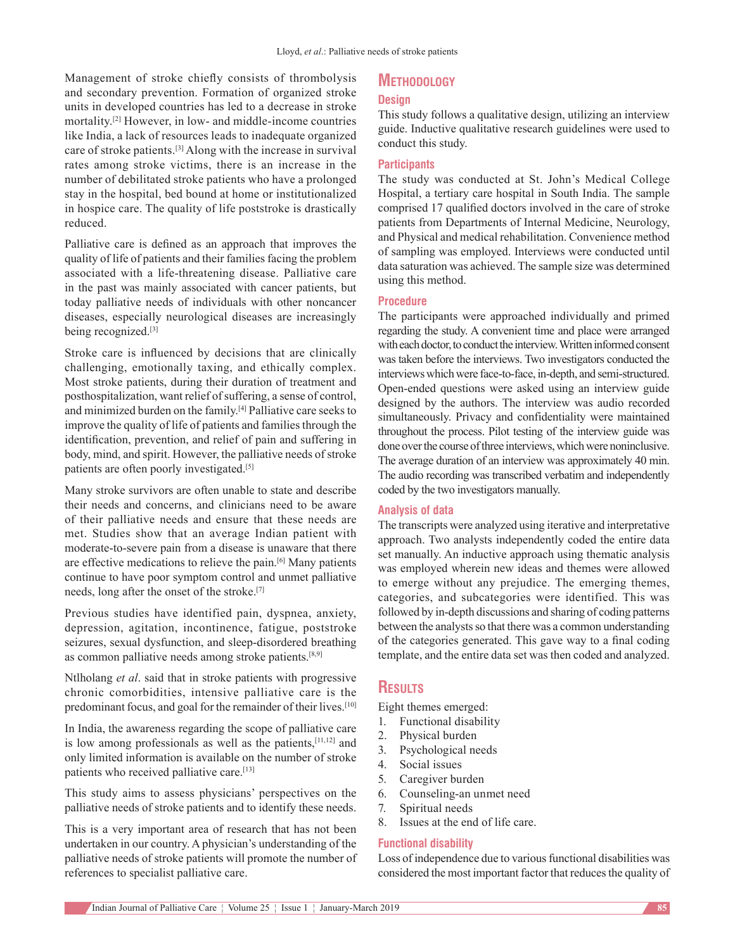Management of stroke chiefly consists of thrombolysis and secondary prevention. Formation of organized stroke units in developed countries has led to a decrease in stroke mortality.[2] However, in low- and middle-income countries like India, a lack of resources leads to inadequate organized care of stroke patients.[3] Along with the increase in survival rates among stroke victims, there is an increase in the number of debilitated stroke patients who have a prolonged stay in the hospital, bed bound at home or institutionalized in hospice care. The quality of life poststroke is drastically reduced.

Palliative care is defined as an approach that improves the quality of life of patients and their families facing the problem associated with a life-threatening disease. Palliative care in the past was mainly associated with cancer patients, but today palliative needs of individuals with other noncancer diseases, especially neurological diseases are increasingly being recognized.[3]

Stroke care is influenced by decisions that are clinically challenging, emotionally taxing, and ethically complex. Most stroke patients, during their duration of treatment and posthospitalization, want relief of suffering, a sense of control, and minimized burden on the family.[4] Palliative care seeks to improve the quality of life of patients and families through the identification, prevention, and relief of pain and suffering in body, mind, and spirit. However, the palliative needs of stroke patients are often poorly investigated.<sup>[5]</sup>

Many stroke survivors are often unable to state and describe their needs and concerns, and clinicians need to be aware of their palliative needs and ensure that these needs are met. Studies show that an average Indian patient with moderate-to-severe pain from a disease is unaware that there are effective medications to relieve the pain.[6] Many patients continue to have poor symptom control and unmet palliative needs, long after the onset of the stroke.[7]

Previous studies have identified pain, dyspnea, anxiety, depression, agitation, incontinence, fatigue, poststroke seizures, sexual dysfunction, and sleep-disordered breathing as common palliative needs among stroke patients.[8,9]

Ntlholang *et al*. said that in stroke patients with progressive chronic comorbidities, intensive palliative care is the predominant focus, and goal for the remainder of their lives.<sup>[10]</sup>

In India, the awareness regarding the scope of palliative care is low among professionals as well as the patients, $[11,12]$  and only limited information is available on the number of stroke patients who received palliative care.<sup>[13]</sup>

This study aims to assess physicians' perspectives on the palliative needs of stroke patients and to identify these needs.

This is a very important area of research that has not been undertaken in our country. A physician's understanding of the palliative needs of stroke patients will promote the number of references to specialist palliative care.

# **Methodology**

#### **Design**

This study follows a qualitative design, utilizing an interview guide. Inductive qualitative research guidelines were used to conduct this study.

#### **Participants**

The study was conducted at St. John's Medical College Hospital, a tertiary care hospital in South India. The sample comprised 17 qualified doctors involved in the care of stroke patients from Departments of Internal Medicine, Neurology, and Physical and medical rehabilitation. Convenience method of sampling was employed. Interviews were conducted until data saturation was achieved. The sample size was determined using this method.

#### **Procedure**

The participants were approached individually and primed regarding the study. A convenient time and place were arranged with each doctor, to conduct the interview. Written informed consent was taken before the interviews. Two investigators conducted the interviews which were face-to-face, in-depth, and semi-structured. Open-ended questions were asked using an interview guide designed by the authors. The interview was audio recorded simultaneously. Privacy and confidentiality were maintained throughout the process. Pilot testing of the interview guide was done over the course of three interviews, which were noninclusive. The average duration of an interview was approximately 40 min. The audio recording was transcribed verbatim and independently coded by the two investigators manually.

### **Analysis of data**

The transcripts were analyzed using iterative and interpretative approach. Two analysts independently coded the entire data set manually. An inductive approach using thematic analysis was employed wherein new ideas and themes were allowed to emerge without any prejudice. The emerging themes, categories, and subcategories were identified. This was followed by in-depth discussions and sharing of coding patterns between the analysts so that there was a common understanding of the categories generated. This gave way to a final coding template, and the entire data set was then coded and analyzed.

# **Results**

Eight themes emerged:

- 1. Functional disability
- 2. Physical burden
- 3. Psychological needs
- 4. Social issues
- 5. Caregiver burden
- 6. Counseling-an unmet need
	- 7. Spiritual needs
	- 8. Issues at the end of life care.

#### **Functional disability**

Loss of independence due to various functional disabilities was considered the most important factor that reduces the quality of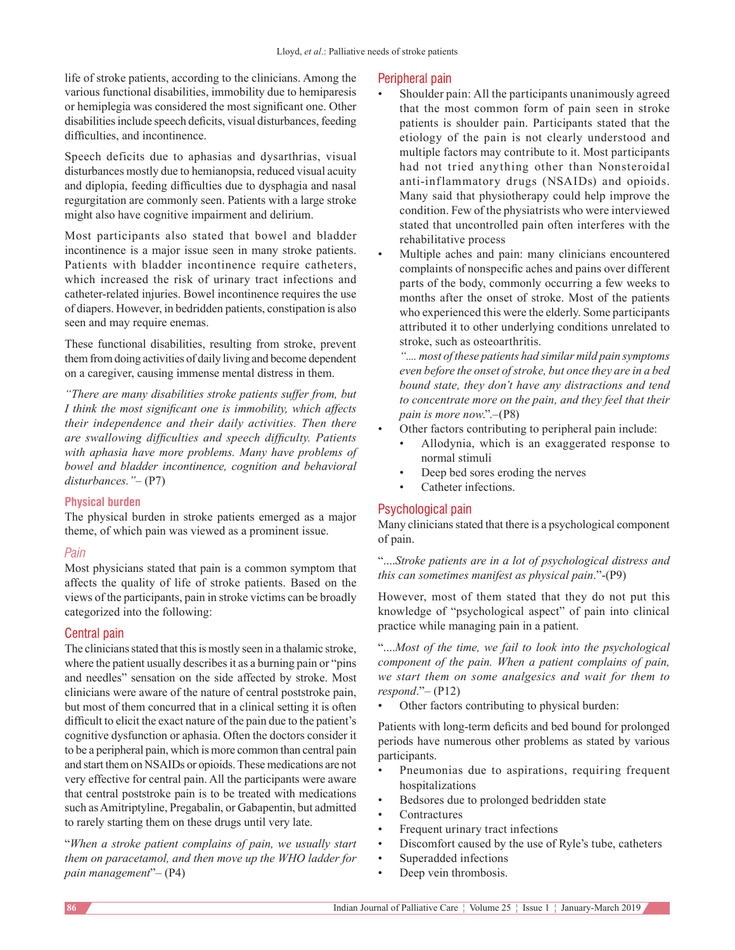life of stroke patients, according to the clinicians. Among the various functional disabilities, immobility due to hemiparesis or hemiplegia was considered the most significant one. Other disabilities include speech deficits, visual disturbances, feeding difficulties, and incontinence.

Speech deficits due to aphasias and dysarthrias, visual disturbances mostly due to hemianopsia, reduced visual acuity and diplopia, feeding difficulties due to dysphagia and nasal regurgitation are commonly seen. Patients with a large stroke might also have cognitive impairment and delirium.

Most participants also stated that bowel and bladder incontinence is a major issue seen in many stroke patients. Patients with bladder incontinence require catheters, which increased the risk of urinary tract infections and catheter-related injuries. Bowel incontinence requires the use of diapers. However, in bedridden patients, constipation is also seen and may require enemas.

These functional disabilities, resulting from stroke, prevent them from doing activities of daily living and become dependent on a caregiver, causing immense mental distress in them.

*"There are many disabilities stroke patients suffer from, but I think the most significant one is immobility, which affects their independence and their daily activities. Then there are swallowing difficulties and speech difficulty. Patients with aphasia have more problems. Many have problems of bowel and bladder incontinence, cognition and behavioral disturbances."–* (P7)

# **Physical burden**

The physical burden in stroke patients emerged as a major theme, of which pain was viewed as a prominent issue.

# *Pain*

Most physicians stated that pain is a common symptom that affects the quality of life of stroke patients. Based on the views of the participants, pain in stroke victims can be broadly categorized into the following:

# Central pain

The clinicians stated that this is mostly seen in a thalamic stroke, where the patient usually describes it as a burning pain or "pins and needles" sensation on the side affected by stroke. Most clinicians were aware of the nature of central poststroke pain, but most of them concurred that in a clinical setting it is often difficult to elicit the exact nature of the pain due to the patient's cognitive dysfunction or aphasia. Often the doctors consider it to be a peripheral pain, which is more common than central pain and start them on NSAIDs or opioids. These medications are not very effective for central pain. All the participants were aware that central poststroke pain is to be treated with medications such as Amitriptyline, Pregabalin, or Gabapentin, but admitted to rarely starting them on these drugs until very late.

"*When a stroke patient complains of pain, we usually start them on paracetamol, and then move up the WHO ladder for pain management*"– (P4)

# Peripheral pain

- Shoulder pain: All the participants unanimously agreed that the most common form of pain seen in stroke patients is shoulder pain. Participants stated that the etiology of the pain is not clearly understood and multiple factors may contribute to it. Most participants had not tried anything other than Nonsteroidal anti-inflammatory drugs (NSAIDs) and opioids. Many said that physiotherapy could help improve the condition. Few of the physiatrists who were interviewed stated that uncontrolled pain often interferes with the rehabilitative process
- Multiple aches and pain: many clinicians encountered complaints of nonspecific aches and pains over different parts of the body, commonly occurring a few weeks to months after the onset of stroke. Most of the patients who experienced this were the elderly. Some participants attributed it to other underlying conditions unrelated to stroke, such as osteoarthritis.

*".... most of these patients had similar mild pain symptoms even before the onset ofstroke, but once they are in a bed bound state, they don't have any distractions and tend to concentrate more on the pain, and they feel that their pain is more now*.".–(P8)

- Other factors contributing to peripheral pain include:
	- Allodynia, which is an exaggerated response to normal stimuli
	- Deep bed sores eroding the nerves
	- Catheter infections.

# Psychological pain

Many clinicians stated that there is a psychological component of pain.

"....*Stroke patients are in a lot of psychological distress and this can sometimes manifest as physical pain*."-(P9)

However, most of them stated that they do not put this knowledge of "psychological aspect" of pain into clinical practice while managing pain in a patient.

"....*Most of the time, we fail to look into the psychological component of the pain. When a patient complains of pain, we start them on some analgesics and wait for them to respond*."– (P12)

Other factors contributing to physical burden:

Patients with long-term deficits and bed bound for prolonged periods have numerous other problems as stated by various participants.

- Pneumonias due to aspirations, requiring frequent hospitalizations
- Bedsores due to prolonged bedridden state
- **Contractures**
- Frequent urinary tract infections
- Discomfort caused by the use of Ryle's tube, catheters
- Superadded infections
- Deep vein thrombosis.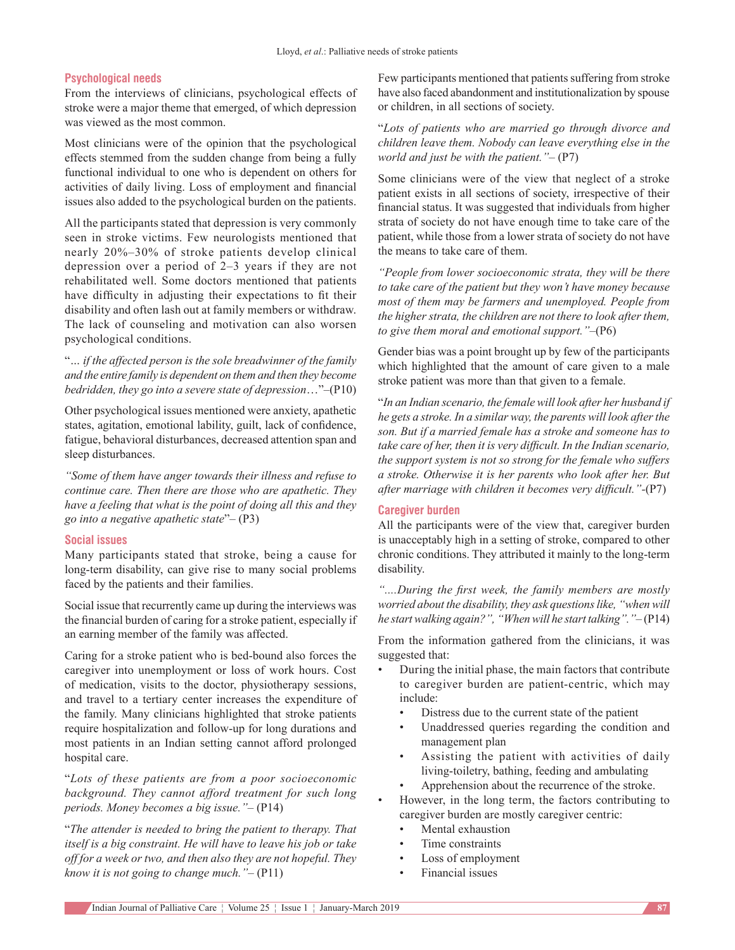#### **Psychological needs**

From the interviews of clinicians, psychological effects of stroke were a major theme that emerged, of which depression was viewed as the most common.

Most clinicians were of the opinion that the psychological effects stemmed from the sudden change from being a fully functional individual to one who is dependent on others for activities of daily living. Loss of employment and financial issues also added to the psychological burden on the patients.

All the participants stated that depression is very commonly seen in stroke victims. Few neurologists mentioned that nearly 20%–30% of stroke patients develop clinical depression over a period of 2–3 years if they are not rehabilitated well. Some doctors mentioned that patients have difficulty in adjusting their expectations to fit their disability and often lash out at family members or withdraw. The lack of counseling and motivation can also worsen psychological conditions.

"*… if the affected person is the sole breadwinner of the family and the entire family is dependent on them and then they become bedridden, they go into a severe state of depression*…"–(P10)

Other psychological issues mentioned were anxiety, apathetic states, agitation, emotional lability, guilt, lack of confidence, fatigue, behavioral disturbances, decreased attention span and sleep disturbances.

*"Some of them have anger towards their illness and refuse to continue care. Then there are those who are apathetic. They have a feeling that what is the point of doing all this and they go into a negative apathetic state*"– (P3)

#### **Social issues**

Many participants stated that stroke, being a cause for long-term disability, can give rise to many social problems faced by the patients and their families.

Social issue that recurrently came up during the interviews was the financial burden of caring for a stroke patient, especially if an earning member of the family was affected.

Caring for a stroke patient who is bed-bound also forces the caregiver into unemployment or loss of work hours. Cost of medication, visits to the doctor, physiotherapy sessions, and travel to a tertiary center increases the expenditure of the family. Many clinicians highlighted that stroke patients require hospitalization and follow-up for long durations and most patients in an Indian setting cannot afford prolonged hospital care.

"*Lots of these patients are from a poor socioeconomic background. They cannot afford treatment for such long periods. Money becomes a big issue."–* (P14)

"*The attender is needed to bring the patient to therapy. That itself is a big constraint. He will have to leave his job or take off for a week or two, and then also they are not hopeful. They know it is not going to change much."–* (P11)

Few participants mentioned that patients suffering from stroke have also faced abandonment and institutionalization by spouse or children, in all sections of society.

"*Lots of patients who are married go through divorce and children leave them. Nobody can leave everything else in the world and just be with the patient."–* (P7)

Some clinicians were of the view that neglect of a stroke patient exists in all sections of society, irrespective of their financial status. It was suggested that individuals from higher strata of society do not have enough time to take care of the patient, while those from a lower strata of society do not have the means to take care of them.

*"People from lower socioeconomic strata, they will be there to take care of the patient but they won't have money because most of them may be farmers and unemployed. People from the higher strata, the children are not there to look after them, to give them moral and emotional support."–*(P6)

Gender bias was a point brought up by few of the participants which highlighted that the amount of care given to a male stroke patient was more than that given to a female.

"*In an Indian scenario, the female will look after her husband if he gets a stroke. In a similar way, the parents will look afterthe son. But if a married female has a stroke and someone has to take care of her, then it is very difficult. In the Indian scenario, the support system is not so strong for the female who suffers a stroke. Otherwise it is her parents who look after her. But after marriage with children it becomes very difficult."‑*(P7)

#### **Caregiver burden**

All the participants were of the view that, caregiver burden is unacceptably high in a setting of stroke, compared to other chronic conditions. They attributed it mainly to the long-term disability.

*"....During the first week, the family members are mostly worried about the disability, they ask questionslike, "when will he startwalking again?", "Whenwill he start talking"."–* (P14)

From the information gathered from the clinicians, it was suggested that:

- During the initial phase, the main factors that contribute to caregiver burden are patient-centric, which may include:
	- Distress due to the current state of the patient
	- Unaddressed queries regarding the condition and management plan
	- Assisting the patient with activities of daily living-toiletry, bathing, feeding and ambulating
	- Apprehension about the recurrence of the stroke.
- However, in the long term, the factors contributing to caregiver burden are mostly caregiver centric:
	- Mental exhaustion
	- Time constraints
	- Loss of employment
	- Financial issues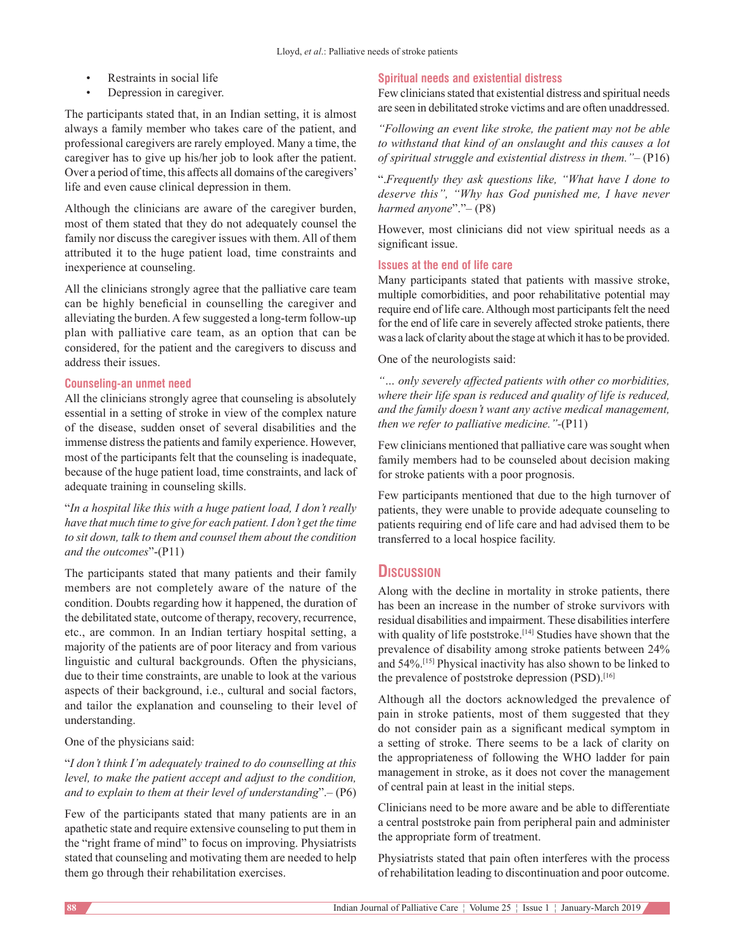- Restraints in social life
- Depression in caregiver.

The participants stated that, in an Indian setting, it is almost always a family member who takes care of the patient, and professional caregivers are rarely employed. Many a time, the caregiver has to give up his/her job to look after the patient. Over a period of time, this affects all domains of the caregivers' life and even cause clinical depression in them.

Although the clinicians are aware of the caregiver burden, most of them stated that they do not adequately counsel the family nor discuss the caregiver issues with them. All of them attributed it to the huge patient load, time constraints and inexperience at counseling.

All the clinicians strongly agree that the palliative care team can be highly beneficial in counselling the caregiver and alleviating the burden. Afew suggested a long-term follow-up plan with palliative care team, as an option that can be considered, for the patient and the caregivers to discuss and address their issues.

## **Counseling‑an unmet need**

All the clinicians strongly agree that counseling is absolutely essential in a setting of stroke in view of the complex nature of the disease, sudden onset of several disabilities and the immense distress the patients and family experience. However, most of the participants felt that the counseling is inadequate, because of the huge patient load, time constraints, and lack of adequate training in counseling skills.

"*In a hospital like this with a huge patient load, I don't really have that much time to give for each patient. I don't get the time to sit down, talk to them and counsel them about the condition and the outcomes*"-(P11)

The participants stated that many patients and their family members are not completely aware of the nature of the condition. Doubts regarding how it happened, the duration of the debilitated state, outcome of therapy, recovery, recurrence, etc., are common. In an Indian tertiary hospital setting, a majority of the patients are of poor literacy and from various linguistic and cultural backgrounds. Often the physicians, due to their time constraints, are unable to look at the various aspects of their background, i.e., cultural and social factors, and tailor the explanation and counseling to their level of understanding.

One of the physicians said:

# "*I don't think I'm adequately trained to do counselling at this level, to make the patient accept and adjust to the condition, and to explain to them at their level of understanding*".– (P6)

Few of the participants stated that many patients are in an apathetic state and require extensive counseling to put them in the "right frame of mind" to focus on improving. Physiatrists stated that counseling and motivating them are needed to help them go through their rehabilitation exercises.

# **Spiritual needs and existential distress**

Few clinicians stated that existential distress and spiritual needs are seen in debilitated stroke victims and are often unaddressed.

*"Following an event like stroke, the patient may not be able to withstand that kind of an onslaught and this causes a lot of spiritual struggle and existential distress in them."–* (P16)

".*Frequently they ask questions like, "What have I done to deserve this", "Why has God punished me, I have never harmed anyone*"."– (P8)

However, most clinicians did not view spiritual needs as a significant issue.

## **Issues at the end of life care**

Many participants stated that patients with massive stroke, multiple comorbidities, and poor rehabilitative potential may require end of life care. Although most participants felt the need for the end of life care in severely affected stroke patients, there was a lack of clarity about the stage at which it has to be provided.

One of the neurologists said:

*"… only severely affected patients with other co morbidities, where their life span is reduced and quality of life is reduced, and the family doesn't want any active medical management, then we refer to palliative medicine."‑*(P11)

Few clinicians mentioned that palliative care was sought when family members had to be counseled about decision making for stroke patients with a poor prognosis.

Few participants mentioned that due to the high turnover of patients, they were unable to provide adequate counseling to patients requiring end of life care and had advised them to be transferred to a local hospice facility.

# **Discussion**

Along with the decline in mortality in stroke patients, there has been an increase in the number of stroke survivors with residual disabilities and impairment. These disabilities interfere with quality of life poststroke.<sup>[14]</sup> Studies have shown that the prevalence of disability among stroke patients between 24% and 54%.[15] Physical inactivity has also shown to be linked to the prevalence of poststroke depression (PSD).<sup>[16]</sup>

Although all the doctors acknowledged the prevalence of pain in stroke patients, most of them suggested that they do not consider pain as a significant medical symptom in a setting of stroke. There seems to be a lack of clarity on the appropriateness of following the WHO ladder for pain management in stroke, as it does not cover the management of central pain at least in the initial steps.

Clinicians need to be more aware and be able to differentiate a central poststroke pain from peripheral pain and administer the appropriate form of treatment.

Physiatrists stated that pain often interferes with the process of rehabilitation leading to discontinuation and poor outcome.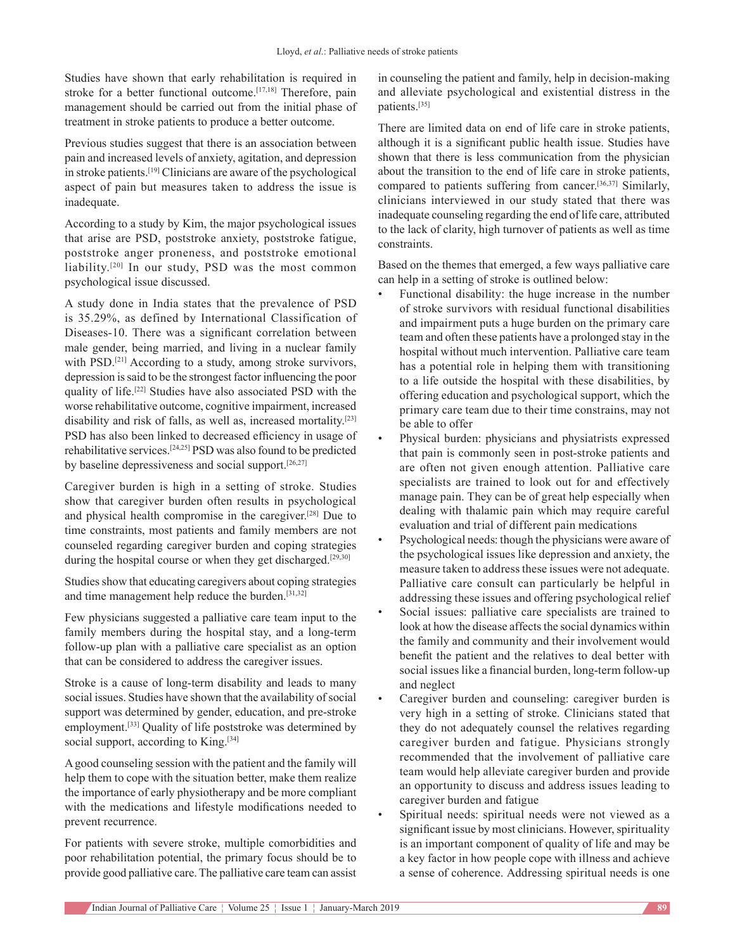Studies have shown that early rehabilitation is required in stroke for a better functional outcome.<sup>[17,18]</sup> Therefore, pain management should be carried out from the initial phase of treatment in stroke patients to produce a better outcome.

Previous studies suggest that there is an association between pain and increased levels of anxiety, agitation, and depression in stroke patients.[19] Clinicians are aware of the psychological aspect of pain but measures taken to address the issue is inadequate.

According to a study by Kim, the major psychological issues that arise are PSD, poststroke anxiety, poststroke fatigue, poststroke anger proneness, and poststroke emotional liability.[20] In our study, PSD was the most common psychological issue discussed.

A study done in India states that the prevalence of PSD is 35.29%, as defined by International Classification of Diseases-10. There was a significant correlation between male gender, being married, and living in a nuclear family with PSD.<sup>[21]</sup> According to a study, among stroke survivors, depression issaid to be the strongest factor influencing the poor quality of life.[22] Studies have also associated PSD with the worse rehabilitative outcome, cognitive impairment, increased disability and risk of falls, as well as, increased mortality.[23] PSD has also been linked to decreased efficiency in usage of rehabilitative services.[24,25] PSD was also found to be predicted by baseline depressiveness and social support.[26,27]

Caregiver burden is high in a setting of stroke. Studies show that caregiver burden often results in psychological and physical health compromise in the caregiver.[28] Due to time constraints, most patients and family members are not counseled regarding caregiver burden and coping strategies during the hospital course or when they get discharged.<sup>[29,30]</sup>

Studies show that educating caregivers about coping strategies and time management help reduce the burden.[31,32]

Few physicians suggested a palliative care team input to the family members during the hospital stay, and a long-term follow-up plan with a palliative care specialist as an option that can be considered to address the caregiver issues.

Stroke is a cause of long-term disability and leads to many social issues. Studies have shown that the availability of social support was determined by gender, education, and pre-stroke employment.<sup>[33]</sup> Quality of life poststroke was determined by social support, according to King.<sup>[34]</sup>

A good counseling session with the patient and the family will help them to cope with the situation better, make them realize the importance of early physiotherapy and be more compliant with the medications and lifestyle modifications needed to prevent recurrence.

For patients with severe stroke, multiple comorbidities and poor rehabilitation potential, the primary focus should be to provide good palliative care. The palliative care team can assist in counseling the patient and family, help in decision-making and alleviate psychological and existential distress in the patients.[35]

There are limited data on end of life care in stroke patients, although it is a significant public health issue. Studies have shown that there is less communication from the physician about the transition to the end of life care in stroke patients, compared to patients suffering from cancer.[36,37] Similarly, clinicians interviewed in our study stated that there was inadequate counseling regarding the end of life care, attributed to the lack of clarity, high turnover of patients as well as time constraints.

Based on the themes that emerged, a few ways palliative care can help in a setting of stroke is outlined below:

- Functional disability: the huge increase in the number of stroke survivors with residual functional disabilities and impairment puts a huge burden on the primary care team and often these patients have a prolonged stay in the hospital without much intervention. Palliative care team has a potential role in helping them with transitioning to a life outside the hospital with these disabilities, by offering education and psychological support, which the primary care team due to their time constrains, may not be able to offer
- Physical burden: physicians and physiatrists expressed that pain is commonly seen in post-stroke patients and are often not given enough attention. Palliative care specialists are trained to look out for and effectively manage pain. They can be of great help especially when dealing with thalamic pain which may require careful evaluation and trial of different pain medications
- Psychological needs: though the physicians were aware of the psychological issues like depression and anxiety, the measure taken to address these issues were not adequate. Palliative care consult can particularly be helpful in addressing these issues and offering psychological relief
- Social issues: palliative care specialists are trained to look at how the disease affects the social dynamics within the family and community and their involvement would benefit the patient and the relatives to deal better with social issues like a financial burden, long-term follow-up and neglect
- Caregiver burden and counseling: caregiver burden is very high in a setting of stroke. Clinicians stated that they do not adequately counsel the relatives regarding caregiver burden and fatigue. Physicians strongly recommended that the involvement of palliative care team would help alleviate caregiver burden and provide an opportunity to discuss and address issues leading to caregiver burden and fatigue
- Spiritual needs: spiritual needs were not viewed as a significant issue by most clinicians. However, spirituality is an important component of quality of life and may be a key factor in how people cope with illness and achieve a sense of coherence. Addressing spiritual needs is one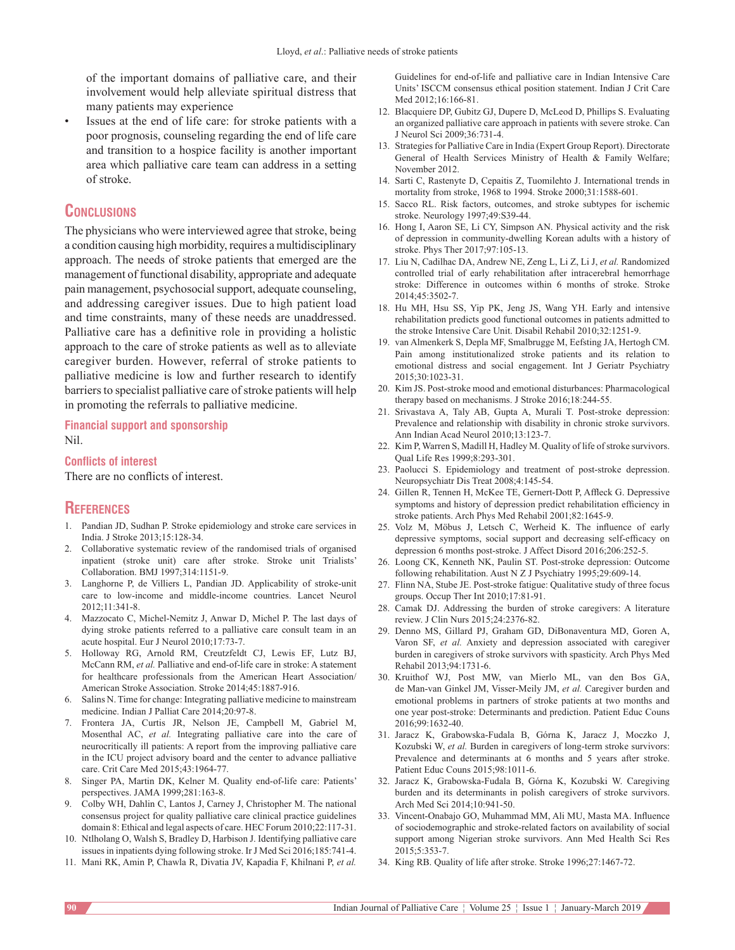of the important domains of palliative care, and their involvement would help alleviate spiritual distress that many patients may experience

Issues at the end of life care: for stroke patients with a poor prognosis, counseling regarding the end of life care and transition to a hospice facility is another important area which palliative care team can address in a setting of stroke.

# **Conclusions**

The physicians who were interviewed agree that stroke, being a condition causing high morbidity, requires a multidisciplinary approach. The needs of stroke patients that emerged are the management of functional disability, appropriate and adequate pain management, psychosocial support, adequate counseling, and addressing caregiver issues. Due to high patient load and time constraints, many of these needs are unaddressed. Palliative care has a definitive role in providing a holistic approach to the care of stroke patients as well as to alleviate caregiver burden. However, referral of stroke patients to palliative medicine is low and further research to identify barriers to specialist palliative care of stroke patients will help in promoting the referrals to palliative medicine.

#### **Financial support and sponsorship** Nil.

#### **Conflicts of interest**

There are no conflicts of interest.

# **References**

- 1. Pandian JD, Sudhan P. Stroke epidemiology and stroke care services in India. J Stroke 2013;15:128-34.
- 2. Collaborative systematic review of the randomised trials of organised inpatient (stroke unit) care after stroke. Stroke unit Trialists' Collaboration. BMJ 1997;314:1151-9.
- 3. Langhorne P, de Villiers L, Pandian JD. Applicability of stroke-unit care to low-income and middle-income countries. Lancet Neurol 2012;11:341-8.
- 4. Mazzocato C, Michel-Nemitz J, Anwar D, Michel P. The last days of dying stroke patients referred to a palliative care consult team in an acute hospital. Eur J Neurol 2010;17:73-7.
- 5. Holloway RG, Arnold RM, Creutzfeldt CJ, Lewis EF, Lutz BJ, McCann RM, *et al.* Palliative and end-of-life care in stroke: A statement for healthcare professionals from the American Heart Association/ American Stroke Association. Stroke 2014;45:1887-916.
- 6. Salins N. Time for change: Integrating palliative medicine to mainstream medicine. Indian J Palliat Care 2014;20:97-8.
- 7. Frontera JA, Curtis JR, Nelson JE, Campbell M, Gabriel M, Mosenthal AC, *et al.* Integrating palliative care into the care of neurocritically ill patients: A report from the improving palliative care in the ICU project advisory board and the center to advance palliative care. Crit Care Med 2015;43:1964-77.
- 8. Singer PA, Martin DK, Kelner M. Quality end-of-life care: Patients' perspectives. JAMA 1999;281:163-8.
- 9. Colby WH, Dahlin C, Lantos J, Carney J, Christopher M. The national consensus project for quality palliative care clinical practice guidelines domain 8: Ethical and legal aspects of care. HEC Forum 2010;22:117-31.
- 10. Ntlholang O, Walsh S, Bradley D, Harbison J. Identifying palliative care issues in inpatients dying following stroke. Ir J Med Sci 2016;185:741-4.
- 11. Mani RK, Amin P, Chawla R, Divatia JV, Kapadia F, Khilnani P, *et al.*

Guidelines for end-of-life and palliative care in Indian Intensive Care Units' ISCCM consensus ethical position statement. Indian J Crit Care Med 2012;16:166-81.

- 12. Blacquiere DP, Gubitz GJ, Dupere D, McLeod D, Phillips S. Evaluating an organized palliative care approach in patients with severe stroke. Can J Neurol Sci 2009;36:731-4.
- 13. Strategies for Palliative Care in India (Expert Group Report). Directorate General of Health Services Ministry of Health & Family Welfare; November 2012.
- 14. Sarti C, Rastenyte D, Cepaitis Z, Tuomilehto J. International trends in mortality from stroke, 1968 to 1994. Stroke 2000;31:1588-601.
- 15. Sacco RL. Risk factors, outcomes, and stroke subtypes for ischemic stroke. Neurology 1997;49:S39-44.
- 16. Hong I, Aaron SE, Li CY, Simpson AN. Physical activity and the risk of depression in community-dwelling Korean adults with a history of stroke. Phys Ther 2017;97:105-13.
- 17. Liu N, Cadilhac DA, Andrew NE, Zeng L, Li Z, Li J, *et al.* Randomized controlled trial of early rehabilitation after intracerebral hemorrhage stroke: Difference in outcomes within 6 months of stroke. Stroke 2014;45:3502-7.
- 18. Hu MH, Hsu SS, Yip PK, Jeng JS, Wang YH. Early and intensive rehabilitation predicts good functional outcomes in patients admitted to the stroke Intensive Care Unit. Disabil Rehabil 2010;32:1251-9.
- 19. van Almenkerk S, Depla MF, Smalbrugge M, Eefsting JA, Hertogh CM. Pain among institutionalized stroke patients and its relation to emotional distress and social engagement. Int J Geriatr Psychiatry 2015;30:1023-31.
- 20. Kim JS. Post-stroke mood and emotional disturbances: Pharmacological therapy based on mechanisms. J Stroke 2016;18:244-55.
- 21. Srivastava A, Taly AB, Gupta A, Murali T. Post-stroke depression: Prevalence and relationship with disability in chronic stroke survivors. Ann Indian Acad Neurol 2010;13:123-7.
- 22. Kim P, Warren S, Madill H, Hadley M. Quality of life of stroke survivors. Qual Life Res 1999;8:293-301.
- 23. Paolucci S. Epidemiology and treatment of post-stroke depression. Neuropsychiatr Dis Treat 2008;4:145-54.
- 24. Gillen R, Tennen H, McKee TE, Gernert-Dott P, Affleck G. Depressive symptoms and history of depression predict rehabilitation efficiency in stroke patients. Arch Phys Med Rehabil 2001;82:1645-9.
- 25. Volz M, Möbus J, Letsch C, Werheid K. The influence of early depressive symptoms, social support and decreasing self‑efficacy on depression 6 months post-stroke. J Affect Disord 2016;206:252-5.
- 26. Loong CK, Kenneth NK, Paulin ST. Post-stroke depression: Outcome following rehabilitation. Aust N Z J Psychiatry 1995;29:609-14.
- 27. Flinn NA, Stube JE. Post-stroke fatigue: Qualitative study of three focus groups. Occup Ther Int 2010;17:81-91.
- 28. Camak DJ. Addressing the burden of stroke caregivers: A literature review. J Clin Nurs 2015;24:2376-82.
- 29. Denno MS, Gillard PJ, Graham GD, DiBonaventura MD, Goren A, Varon SF, *et al.* Anxiety and depression associated with caregiver burden in caregivers of stroke survivors with spasticity. Arch Phys Med Rehabil 2013;94:1731-6.
- 30. Kruithof WJ, Post MW, van Mierlo ML, van den Bos GA, de Man-van Ginkel JM, Visser-Meily JM, *et al.* Caregiver burden and emotional problems in partners of stroke patients at two months and one year post-stroke: Determinants and prediction. Patient Educ Couns 2016;99:1632-40.
- 31. Jaracz K, Grabowska-Fudala B, Górna K, Jaracz J, Moczko J, Kozubski W, *et al.* Burden in caregivers of long-term stroke survivors: Prevalence and determinants at 6 months and 5 years after stroke. Patient Educ Couns 2015;98:1011-6.
- 32. Jaracz K, Grabowska-Fudala B, Górna K, Kozubski W. Caregiving burden and its determinants in polish caregivers of stroke survivors. Arch Med Sci 2014;10:941-50.
- 33. Vincent‑Onabajo GO, Muhammad MM, Ali MU, Masta MA. Influence of sociodemographic and stroke-related factors on availability of social support among Nigerian stroke survivors. Ann Med Health Sci Res 2015;5:353-7.
- 34. King RB. Quality of life after stroke. Stroke 1996;27:1467-72.